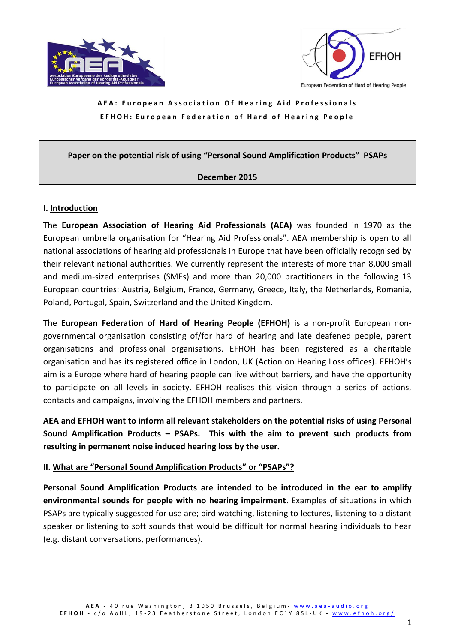



#### **Paper on the potential risk of using "Personal Sound Amplification Products" PSAPs**

#### **December 2015**

#### **I. Introduction**

The **European Association of Hearing Aid Professionals (AEA)** was founded in 1970 as the European umbrella organisation for "Hearing Aid Professionals". AEA membership is open to all national associations of hearing aid professionals in Europe that have been officially recognised by their relevant national authorities. We currently represent the interests of more than 8,000 small and medium-sized enterprises (SMEs) and more than 20,000 practitioners in the following 13 European countries: Austria, Belgium, France, Germany, Greece, Italy, the Netherlands, Romania, Poland, Portugal, Spain, Switzerland and the United Kingdom.

The **European Federation of Hard of Hearing People (EFHOH)** is a non-profit European nongovernmental organisation consisting of/for hard of hearing and late deafened people, parent organisations and professional organisations. EFHOH has been registered as a charitable organisation and has its registered office in London, UK (Action on Hearing Loss offices). EFHOH's aim is a Europe where hard of hearing people can live without barriers, and have the opportunity to participate on all levels in society. EFHOH realises this vision through a series of actions, contacts and campaigns, involving the EFHOH members and partners.

**AEA and EFHOH want to inform all relevant stakeholders on the potential risks of using Personal Sound Amplification Products – PSAPs. This with the aim to prevent such products from resulting in permanent noise induced hearing loss by the user.**

### **II. What are "Personal Sound Amplification Products" or "PSAPs"?**

**Personal Sound Amplification Products are intended to be introduced in the ear to amplify environmental sounds for people with no hearing impairment**. Examples of situations in which PSAPs are typically suggested for use are; bird watching, listening to lectures, listening to a distant speaker or listening to soft sounds that would be difficult for normal hearing individuals to hear (e.g. distant conversations, performances).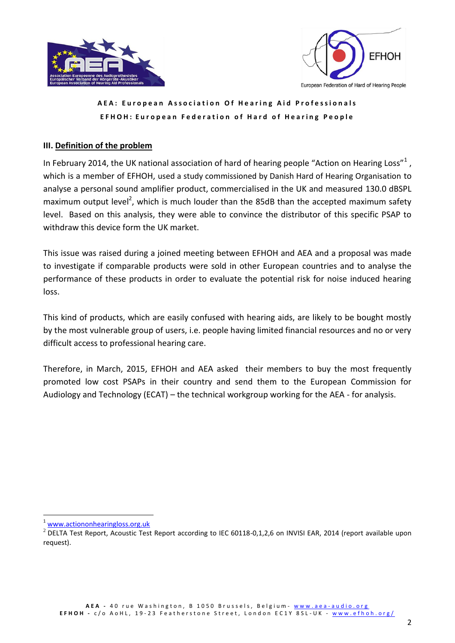



European Federation of Hard of Hearing People

## **A E A : E u r o p e a n A s s o c i a t i o n O f H e a r i n g A i d P r o f e s s i o n a l s EFHOH: European Federation of Hard of Hearing People**

## **III. Definition of the problem**

In February 2014, the UK national association of hard of hearing people "Action on Hearing Loss"<sup>1</sup>, which is a member of EFHOH, used a study commissioned by Danish Hard of Hearing Organisation to analyse a personal sound amplifier product, commercialised in the UK and measured 130.0 dBSPL maximum output level<sup>2</sup>, which is much louder than the 85dB than the accepted maximum safety level. Based on this analysis, they were able to convince the distributor of this specific PSAP to withdraw this device form the UK market.

This issue was raised during a joined meeting between EFHOH and AEA and a proposal was made to investigate if comparable products were sold in other European countries and to analyse the performance of these products in order to evaluate the potential risk for noise induced hearing loss.

This kind of products, which are easily confused with hearing aids, are likely to be bought mostly by the most vulnerable group of users, i.e. people having limited financial resources and no or very difficult access to professional hearing care.

Therefore, in March, 2015, EFHOH and AEA asked their members to buy the most frequently promoted low cost PSAPs in their country and send them to the European Commission for Audiology and Technology (ECAT) – the technical workgroup working for the AEA - for analysis.

-

<sup>1</sup> [www.actiononhearingloss.org.uk](http://www.actiononhearingloss.org.uk/)

 $2$  DELTA Test Report, Acoustic Test Report according to IEC 60118-0,1,2,6 on INVISI EAR, 2014 (report available upon request).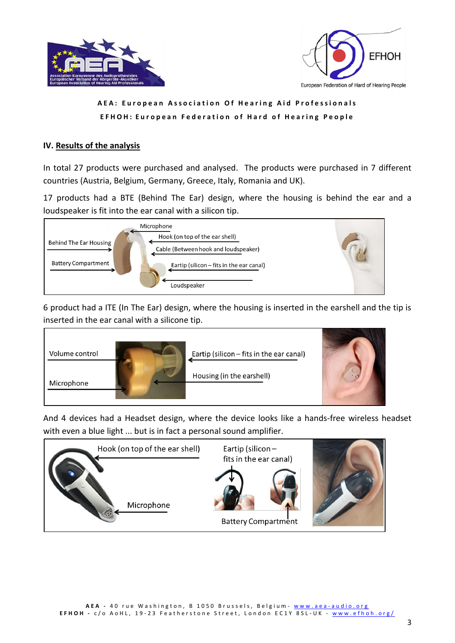



## **IV. Results of the analysis**

In total 27 products were purchased and analysed. The products were purchased in 7 different countries (Austria, Belgium, Germany, Greece, Italy, Romania and UK).

17 products had a BTE (Behind The Ear) design, where the housing is behind the ear and a loudspeaker is fit into the ear canal with a silicon tip.



6 product had a ITE (In The Ear) design, where the housing is inserted in the earshell and the tip is inserted in the ear canal with a silicone tip.



And 4 devices had a Headset design, where the device looks like a hands-free wireless headset with even a blue light ... but is in fact a personal sound amplifier.

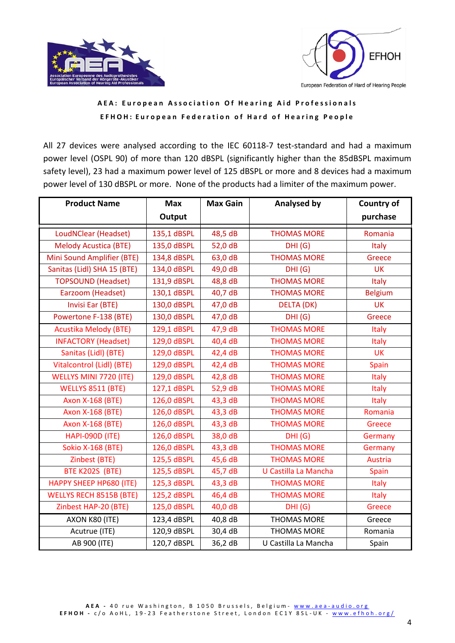



All 27 devices were analysed according to the IEC 60118-7 test-standard and had a maximum power level (OSPL 90) of more than 120 dBSPL (significantly higher than the 85dBSPL maximum safety level), 23 had a maximum power level of 125 dBSPL or more and 8 devices had a maximum power level of 130 dBSPL or more. None of the products had a limiter of the maximum power.

| <b>Product Name</b>            | <b>Max</b>  | <b>Max Gain</b> | <b>Analysed by</b>   | Country of     |
|--------------------------------|-------------|-----------------|----------------------|----------------|
|                                | Output      |                 |                      | purchase       |
| LoudNClear (Headset)           | 135,1 dBSPL | 48,5 dB         | <b>THOMAS MORE</b>   | Romania        |
| <b>Melody Acustica (BTE)</b>   | 135,0 dBSPL | 52,0 dB         | DHI(G)               | Italy          |
| Mini Sound Amplifier (BTE)     | 134,8 dBSPL | 63,0 dB         | <b>THOMAS MORE</b>   | Greece         |
| Sanitas (Lidl) SHA 15 (BTE)    | 134,0 dBSPL | 49,0 dB         | DHI(G)               | <b>UK</b>      |
| <b>TOPSOUND (Headset)</b>      | 131,9 dBSPL | 48,8 dB         | <b>THOMAS MORE</b>   | <b>Italy</b>   |
| Earzoom (Headset)              | 130,1 dBSPL | 40,7 dB         | <b>THOMAS MORE</b>   | <b>Belgium</b> |
| Invisi Ear (BTE)               | 130,0 dBSPL | 47,0 dB         | <b>DELTA (DK)</b>    | <b>UK</b>      |
| Powertone F-138 (BTE)          | 130,0 dBSPL | 47,0 dB         | DHI(G)               | Greece         |
| <b>Acustika Melody (BTE)</b>   | 129,1 dBSPL | 47,9 dB         | <b>THOMAS MORE</b>   | <b>Italy</b>   |
| <b>INFACTORY (Headset)</b>     | 129,0 dBSPL | 40,4 dB         | <b>THOMAS MORE</b>   | <b>Italy</b>   |
| Sanitas (Lidl) (BTE)           | 129,0 dBSPL | 42,4 dB         | <b>THOMAS MORE</b>   | <b>UK</b>      |
| Vitalcontrol (Lidl) (BTE)      | 129,0 dBSPL | 42,4 dB         | <b>THOMAS MORE</b>   | Spain          |
| WELLYS MINI 7720 (ITE)         | 129,0 dBSPL | 42,8 dB         | <b>THOMAS MORE</b>   | <b>Italy</b>   |
| <b>WELLYS 8511 (BTE)</b>       | 127,1 dBSPL | 52,9 dB         | <b>THOMAS MORE</b>   | Italy          |
| <b>Axon X-168 (BTE)</b>        | 126,0 dBSPL | 43,3 dB         | <b>THOMAS MORE</b>   | <b>Italy</b>   |
| <b>Axon X-168 (BTE)</b>        | 126,0 dBSPL | 43,3 dB         | <b>THOMAS MORE</b>   | Romania        |
| <b>Axon X-168 (BTE)</b>        | 126,0 dBSPL | 43,3 dB         | <b>THOMAS MORE</b>   | Greece         |
| <b>HAPI-090D (ITE)</b>         | 126,0 dBSPL | 38,0 dB         | DHI(G)               | Germany        |
| <b>Sokio X-168 (BTE)</b>       | 126,0 dBSPL | 43,3 dB         | <b>THOMAS MORE</b>   | Germany        |
| Zinbest (BTE)                  | 125,5 dBSPL | 45,6 dB         | <b>THOMAS MORE</b>   | Austria        |
| BTE K202S (BTE)                | 125,5 dBSPL | 45,7 dB         | U Castilla La Mancha | Spain          |
| HAPPY SHEEP HP680 (ITE)        | 125,3 dBSPL | 43,3 dB         | <b>THOMAS MORE</b>   | Italy          |
| <b>WELLYS RECH 8515B (BTE)</b> | 125,2 dBSPL | 46,4 dB         | <b>THOMAS MORE</b>   | <b>Italy</b>   |
| Zinbest HAP-20 (BTE)           | 125,0 dBSPL | 40,0 dB         | DHI(G)               | Greece         |
| AXON K80 (ITE)                 | 123,4 dBSPL | 40,8 dB         | <b>THOMAS MORE</b>   | Greece         |
| Acutrue (ITE)                  | 120,9 dBSPL | 30,4 dB         | <b>THOMAS MORE</b>   | Romania        |
| AB 900 (ITE)                   | 120,7 dBSPL | 36,2 dB         | U Castilla La Mancha | Spain          |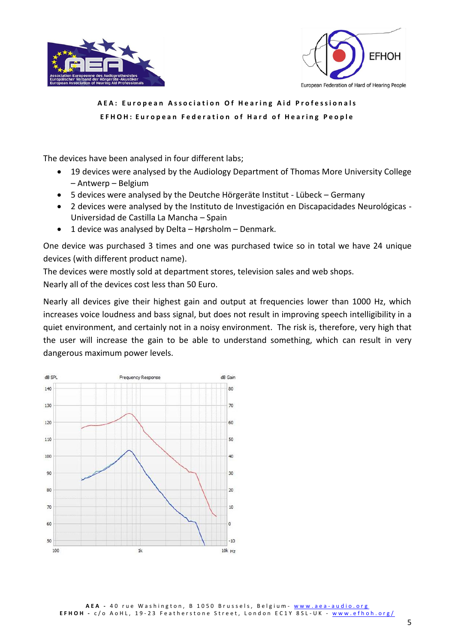



The devices have been analysed in four different labs;

- 19 devices were analysed by the Audiology Department of Thomas More University College – Antwerp – Belgium
- 5 devices were analysed by the Deutche Hörgeräte Institut Lübeck Germany
- 2 devices were analysed by the Instituto de Investigación en Discapacidades Neurológicas Universidad de Castilla La Mancha – Spain
- 1 device was analysed by Delta Hørsholm Denmark.

One device was purchased 3 times and one was purchased twice so in total we have 24 unique devices (with different product name).

The devices were mostly sold at department stores, television sales and web shops. Nearly all of the devices cost less than 50 Euro.

Nearly all devices give their highest gain and output at frequencies lower than 1000 Hz, which increases voice loudness and bass signal, but does not result in improving speech intelligibility in a quiet environment, and certainly not in a noisy environment. The risk is, therefore, very high that the user will increase the gain to be able to understand something, which can result in very dangerous maximum power levels.

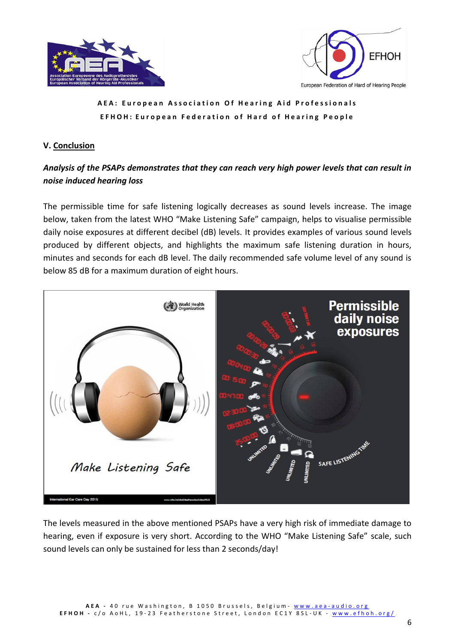



#### **V. Conclusion**

# *Analysis of the PSAPs demonstrates that they can reach very high power levels that can result in noise induced hearing loss*

The permissible time for safe listening logically decreases as sound levels increase. The image below, taken from the latest WHO "Make Listening Safe" campaign, helps to visualise permissible daily noise exposures at different decibel (dB) levels. It provides examples of various sound levels produced by different objects, and highlights the maximum safe listening duration in hours, minutes and seconds for each dB level. The daily recommended safe volume level of any sound is below 85 dB for a maximum duration of eight hours.



The levels measured in the above mentioned PSAPs have a very high risk of immediate damage to hearing, even if exposure is very short. According to the WHO "Make Listening Safe" scale, such sound levels can only be sustained for less than 2 seconds/day!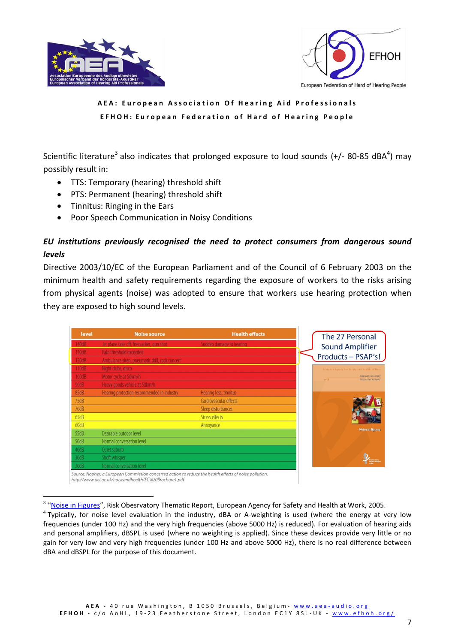



Scientific literature<sup>3</sup> also indicates that prolonged exposure to loud sounds (+/- 80-85 dBA<sup>4</sup>) may possibly result in:

- TTS: Temporary (hearing) threshold shift
- PTS: Permanent (hearing) threshold shift
- Tinnitus: Ringing in the Ears

1

Poor Speech Communication in Noisy Conditions

# *EU institutions previously recognised the need to protect consumers from dangerous sound levels*

Directive 2003/10/EC of the European Parliament and of the Council of 6 February 2003 on the minimum health and safety requirements regarding the exposure of workers to the risks arising from physical agents (noise) was adopted to ensure that workers use hearing protection when they are exposed to high sound levels.

| level | <b>Noise source</b>                            | <b>Health effects</b>    | The 27 Personal                                                    |
|-------|------------------------------------------------|--------------------------|--------------------------------------------------------------------|
| 140dB | Jet plane take off, firecracker, gun shot      | Sudden damage to hearing | <b>Sound Amplifier</b>                                             |
| 130dB | Pain threshold exceeded                        |                          | Products - PSAP's!                                                 |
| 120dB | Ambulance siren, pneumatic drill, rock concert |                          |                                                                    |
| 110dB | Night clubs, disco                             |                          | European Agency for Safety and Realth at Work-                     |
| 100dB | Motor cycle at 50km/h                          |                          | <b>RISK OBSERVATORY</b><br>$\frac{1}{2}$<br><b>THEMATIC REPORT</b> |
| 90dB  | Heavy goods vehicle at 50km/h                  |                          |                                                                    |
| 85dB  | Hearing protection recommended in industry     | Hearing loss, tinnitus   |                                                                    |
| 75dB  |                                                | Cardiovascular effects   |                                                                    |
| 70dB  |                                                | Sleep disturbances       |                                                                    |
| 65dB  |                                                | <b>Stress effects</b>    |                                                                    |
| 60dB  |                                                | Annoyance                | <b>Noise in figures</b>                                            |
| 55dB  | Desirable outdoor level                        |                          |                                                                    |
| 50dB  | Normal conversation level                      |                          |                                                                    |
| 40dB  | Quiet suburb                                   |                          |                                                                    |
| 30dB  | Shoft whisper                                  |                          |                                                                    |
| 20dB  | Normal conversation level                      |                          |                                                                    |

Source: Nopher, a European Commission concerted action to reduce the health effects of noise pollution. http://www.ucl.ac.uk/noiseandhealth/EC%20Brochure1.pdf

<sup>&</sup>lt;sup>3</sup> "[Noise in Figures](https://osha.europa.eu/en/publications/reports/6905723)", Risk Obesrvatory Thematic Report, European Agency for Safety and Health at Work, 2005.

<sup>&</sup>lt;sup>4</sup> Typically, for noise level evaluation in the industry, dBA or A-weighting is used (where the energy at very low frequencies (under 100 Hz) and the very high frequencies (above 5000 Hz) is reduced). For evaluation of hearing aids and personal amplifiers, dBSPL is used (where no weighting is applied). Since these devices provide very little or no gain for very low and very high frequencies (under 100 Hz and above 5000 Hz), there is no real difference between dBA and dBSPL for the purpose of this document.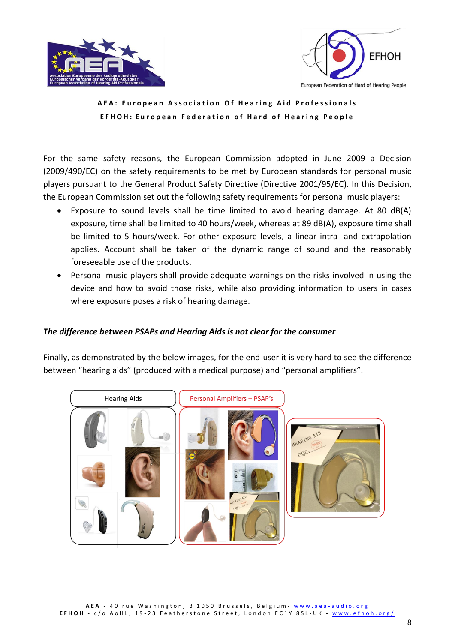



For the same safety reasons, the European Commission adopted in June 2009 a Decision (2009/490/EC) on the safety requirements to be met by European standards for personal music players pursuant to the General Product Safety Directive (Directive 2001/95/EC). In this Decision, the European Commission set out the following safety requirements for personal music players:

- Exposure to sound levels shall be time limited to avoid hearing damage. At 80 dB(A) exposure, time shall be limited to 40 hours/week, whereas at 89 dB(A), exposure time shall be limited to 5 hours/week. For other exposure levels, a linear intra- and extrapolation applies. Account shall be taken of the dynamic range of sound and the reasonably foreseeable use of the products.
- Personal music players shall provide adequate warnings on the risks involved in using the device and how to avoid those risks, while also providing information to users in cases where exposure poses a risk of hearing damage.

### *The difference between PSAPs and Hearing Aids is not clear for the consumer*

Finally, as demonstrated by the below images, for the end-user it is very hard to see the difference between "hearing aids" (produced with a medical purpose) and "personal amplifiers".